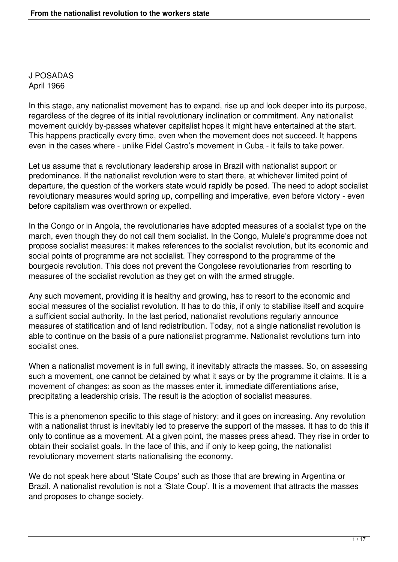J POSADAS April 1966

In this stage, any nationalist movement has to expand, rise up and look deeper into its purpose, regardless of the degree of its initial revolutionary inclination or commitment. Any nationalist movement quickly by-passes whatever capitalist hopes it might have entertained at the start. This happens practically every time, even when the movement does not succeed. It happens even in the cases where - unlike Fidel Castro's movement in Cuba - it fails to take power.

Let us assume that a revolutionary leadership arose in Brazil with nationalist support or predominance. If the nationalist revolution were to start there, at whichever limited point of departure, the question of the workers state would rapidly be posed. The need to adopt socialist revolutionary measures would spring up, compelling and imperative, even before victory - even before capitalism was overthrown or expelled.

In the Congo or in Angola, the revolutionaries have adopted measures of a socialist type on the march, even though they do not call them socialist. In the Congo, Mulele's programme does not propose socialist measures: it makes references to the socialist revolution, but its economic and social points of programme are not socialist. They correspond to the programme of the bourgeois revolution. This does not prevent the Congolese revolutionaries from resorting to measures of the socialist revolution as they get on with the armed struggle.

Any such movement, providing it is healthy and growing, has to resort to the economic and social measures of the socialist revolution. It has to do this, if only to stabilise itself and acquire a sufficient social authority. In the last period, nationalist revolutions regularly announce measures of statification and of land redistribution. Today, not a single nationalist revolution is able to continue on the basis of a pure nationalist programme. Nationalist revolutions turn into socialist ones.

When a nationalist movement is in full swing, it inevitably attracts the masses. So, on assessing such a movement, one cannot be detained by what it says or by the programme it claims. It is a movement of changes: as soon as the masses enter it, immediate differentiations arise, precipitating a leadership crisis. The result is the adoption of socialist measures.

This is a phenomenon specific to this stage of history; and it goes on increasing. Any revolution with a nationalist thrust is inevitably led to preserve the support of the masses. It has to do this if only to continue as a movement. At a given point, the masses press ahead. They rise in order to obtain their socialist goals. In the face of this, and if only to keep going, the nationalist revolutionary movement starts nationalising the economy.

We do not speak here about 'State Coups' such as those that are brewing in Argentina or Brazil. A nationalist revolution is not a 'State Coup'. It is a movement that attracts the masses and proposes to change society.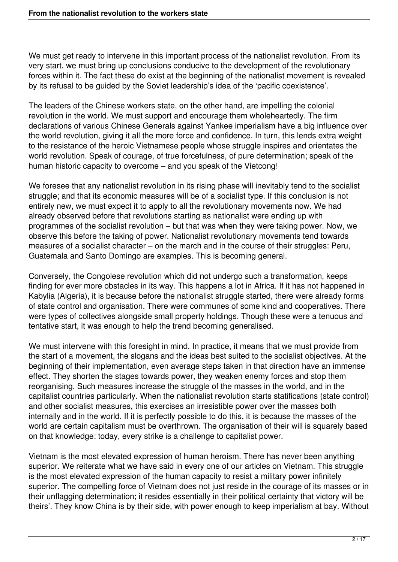We must get ready to intervene in this important process of the nationalist revolution. From its very start, we must bring up conclusions conducive to the development of the revolutionary forces within it. The fact these do exist at the beginning of the nationalist movement is revealed by its refusal to be guided by the Soviet leadership's idea of the 'pacific coexistence'.

The leaders of the Chinese workers state, on the other hand, are impelling the colonial revolution in the world. We must support and encourage them wholeheartedly. The firm declarations of various Chinese Generals against Yankee imperialism have a big influence over the world revolution, giving it all the more force and confidence. In turn, this lends extra weight to the resistance of the heroic Vietnamese people whose struggle inspires and orientates the world revolution. Speak of courage, of true forcefulness, of pure determination; speak of the human historic capacity to overcome – and you speak of the Vietcong!

We foresee that any nationalist revolution in its rising phase will inevitably tend to the socialist struggle; and that its economic measures will be of a socialist type. If this conclusion is not entirely new, we must expect it to apply to all the revolutionary movements now. We had already observed before that revolutions starting as nationalist were ending up with programmes of the socialist revolution – but that was when they were taking power. Now, we observe this before the taking of power. Nationalist revolutionary movements tend towards measures of a socialist character – on the march and in the course of their struggles: Peru, Guatemala and Santo Domingo are examples. This is becoming general.

Conversely, the Congolese revolution which did not undergo such a transformation, keeps finding for ever more obstacles in its way. This happens a lot in Africa. If it has not happened in Kabylia (Algeria), it is because before the nationalist struggle started, there were already forms of state control and organisation. There were communes of some kind and cooperatives. There were types of collectives alongside small property holdings. Though these were a tenuous and tentative start, it was enough to help the trend becoming generalised.

We must intervene with this foresight in mind. In practice, it means that we must provide from the start of a movement, the slogans and the ideas best suited to the socialist objectives. At the beginning of their implementation, even average steps taken in that direction have an immense effect. They shorten the stages towards power, they weaken enemy forces and stop them reorganising. Such measures increase the struggle of the masses in the world, and in the capitalist countries particularly. When the nationalist revolution starts statifications (state control) and other socialist measures, this exercises an irresistible power over the masses both internally and in the world. If it is perfectly possible to do this, it is because the masses of the world are certain capitalism must be overthrown. The organisation of their will is squarely based on that knowledge: today, every strike is a challenge to capitalist power.

Vietnam is the most elevated expression of human heroism. There has never been anything superior. We reiterate what we have said in every one of our articles on Vietnam. This struggle is the most elevated expression of the human capacity to resist a military power infinitely superior. The compelling force of Vietnam does not just reside in the courage of its masses or in their unflagging determination; it resides essentially in their political certainty that victory will be theirs'. They know China is by their side, with power enough to keep imperialism at bay. Without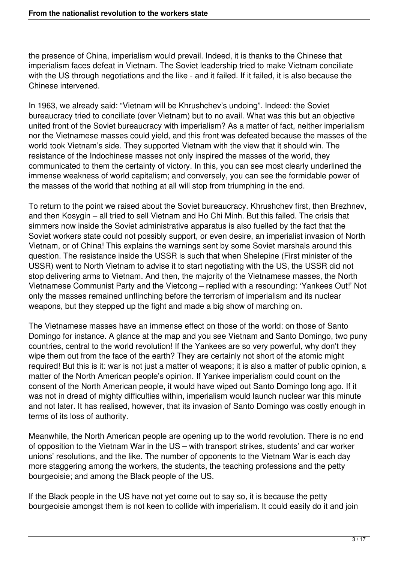the presence of China, imperialism would prevail. Indeed, it is thanks to the Chinese that imperialism faces defeat in Vietnam. The Soviet leadership tried to make Vietnam conciliate with the US through negotiations and the like - and it failed. If it failed, it is also because the Chinese intervened.

In 1963, we already said: "Vietnam will be Khrushchev's undoing". Indeed: the Soviet bureaucracy tried to conciliate (over Vietnam) but to no avail. What was this but an objective united front of the Soviet bureaucracy with imperialism? As a matter of fact, neither imperialism nor the Vietnamese masses could yield, and this front was defeated because the masses of the world took Vietnam's side. They supported Vietnam with the view that it should win. The resistance of the Indochinese masses not only inspired the masses of the world, they communicated to them the certainty of victory. In this, you can see most clearly underlined the immense weakness of world capitalism; and conversely, you can see the formidable power of the masses of the world that nothing at all will stop from triumphing in the end.

To return to the point we raised about the Soviet bureaucracy. Khrushchev first, then Brezhnev, and then Kosygin – all tried to sell Vietnam and Ho Chi Minh. But this failed. The crisis that simmers now inside the Soviet administrative apparatus is also fuelled by the fact that the Soviet workers state could not possibly support, or even desire, an imperialist invasion of North Vietnam, or of China! This explains the warnings sent by some Soviet marshals around this question. The resistance inside the USSR is such that when Shelepine (First minister of the USSR) went to North Vietnam to advise it to start negotiating with the US, the USSR did not stop delivering arms to Vietnam. And then, the majority of the Vietnamese masses, the North Vietnamese Communist Party and the Vietcong – replied with a resounding: 'Yankees Out!' Not only the masses remained unflinching before the terrorism of imperialism and its nuclear weapons, but they stepped up the fight and made a big show of marching on.

The Vietnamese masses have an immense effect on those of the world: on those of Santo Domingo for instance. A glance at the map and you see Vietnam and Santo Domingo, two puny countries, central to the world revolution! If the Yankees are so very powerful, why don't they wipe them out from the face of the earth? They are certainly not short of the atomic might required! But this is it: war is not just a matter of weapons; it is also a matter of public opinion, a matter of the North American people's opinion. If Yankee imperialism could count on the consent of the North American people, it would have wiped out Santo Domingo long ago. If it was not in dread of mighty difficulties within, imperialism would launch nuclear war this minute and not later. It has realised, however, that its invasion of Santo Domingo was costly enough in terms of its loss of authority.

Meanwhile, the North American people are opening up to the world revolution. There is no end of opposition to the Vietnam War in the US – with transport strikes, students' and car worker unions' resolutions, and the like. The number of opponents to the Vietnam War is each day more staggering among the workers, the students, the teaching professions and the petty bourgeoisie; and among the Black people of the US.

If the Black people in the US have not yet come out to say so, it is because the petty bourgeoisie amongst them is not keen to collide with imperialism. It could easily do it and join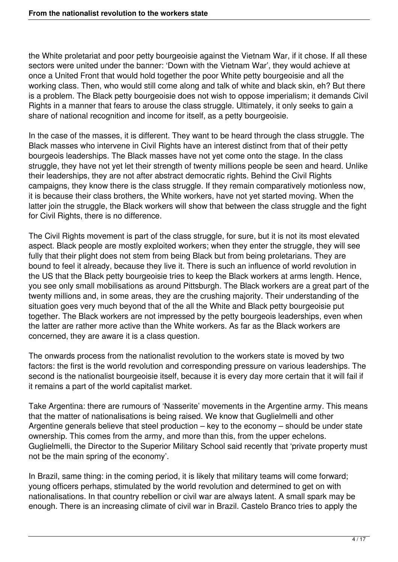the White proletariat and poor petty bourgeoisie against the Vietnam War, if it chose. If all these sectors were united under the banner: 'Down with the Vietnam War', they would achieve at once a United Front that would hold together the poor White petty bourgeoisie and all the working class. Then, who would still come along and talk of white and black skin, eh? But there is a problem. The Black petty bourgeoisie does not wish to oppose imperialism; it demands Civil Rights in a manner that fears to arouse the class struggle. Ultimately, it only seeks to gain a share of national recognition and income for itself, as a petty bourgeoisie.

In the case of the masses, it is different. They want to be heard through the class struggle. The Black masses who intervene in Civil Rights have an interest distinct from that of their petty bourgeois leaderships. The Black masses have not yet come onto the stage. In the class struggle, they have not yet let their strength of twenty millions people be seen and heard. Unlike their leaderships, they are not after abstract democratic rights. Behind the Civil Rights campaigns, they know there is the class struggle. If they remain comparatively motionless now, it is because their class brothers, the White workers, have not yet started moving. When the latter join the struggle, the Black workers will show that between the class struggle and the fight for Civil Rights, there is no difference.

The Civil Rights movement is part of the class struggle, for sure, but it is not its most elevated aspect. Black people are mostly exploited workers; when they enter the struggle, they will see fully that their plight does not stem from being Black but from being proletarians. They are bound to feel it already, because they live it. There is such an influence of world revolution in the US that the Black petty bourgeoisie tries to keep the Black workers at arms length. Hence, you see only small mobilisations as around Pittsburgh. The Black workers are a great part of the twenty millions and, in some areas, they are the crushing majority. Their understanding of the situation goes very much beyond that of the all the White and Black petty bourgeoisie put together. The Black workers are not impressed by the petty bourgeois leaderships, even when the latter are rather more active than the White workers. As far as the Black workers are concerned, they are aware it is a class question.

The onwards process from the nationalist revolution to the workers state is moved by two factors: the first is the world revolution and corresponding pressure on various leaderships. The second is the nationalist bourgeoisie itself, because it is every day more certain that it will fail if it remains a part of the world capitalist market.

Take Argentina: there are rumours of 'Nasserite' movements in the Argentine army. This means that the matter of nationalisations is being raised. We know that Guglielmelli and other Argentine generals believe that steel production – key to the economy – should be under state ownership. This comes from the army, and more than this, from the upper echelons. Guglielmelli, the Director to the Superior Military School said recently that 'private property must not be the main spring of the economy'.

In Brazil, same thing: in the coming period, it is likely that military teams will come forward; young officers perhaps, stimulated by the world revolution and determined to get on with nationalisations. In that country rebellion or civil war are always latent. A small spark may be enough. There is an increasing climate of civil war in Brazil. Castelo Branco tries to apply the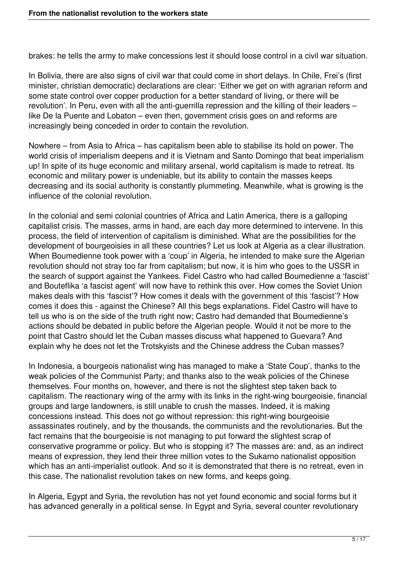brakes: he tells the army to make concessions lest it should loose control in a civil war situation.

In Bolivia, there are also signs of civil war that could come in short delays. In Chile, Frei's (first minister, christian democratic) declarations are clear: 'Either we get on with agrarian reform and some state control over copper production for a better standard of living, or there will be revolution'. In Peru, even with all the anti-guerrilla repression and the killing of their leaders – like De la Puente and Lobaton – even then, government crisis goes on and reforms are increasingly being conceded in order to contain the revolution.

Nowhere – from Asia to Africa – has capitalism been able to stabilise its hold on power. The world crisis of imperialism deepens and it is Vietnam and Santo Domingo that beat imperialism up! In spite of its huge economic and military arsenal, world capitalism is made to retreat. Its economic and military power is undeniable, but its ability to contain the masses keeps decreasing and its social authority is constantly plummeting. Meanwhile, what is growing is the influence of the colonial revolution.

In the colonial and semi colonial countries of Africa and Latin America, there is a galloping capitalist crisis. The masses, arms in hand, are each day more determined to intervene. In this process, the field of intervention of capitalism is diminished. What are the possibilities for the development of bourgeoisies in all these countries? Let us look at Algeria as a clear illustration. When Boumedienne took power with a 'coup' in Algeria, he intended to make sure the Algerian revolution should not stray too far from capitalism; but now, it is him who goes to the USSR in the search of support against the Yankees. Fidel Castro who had called Boumedienne a 'fascist' and Bouteflika 'a fascist agent' will now have to rethink this over. How comes the Soviet Union makes deals with this 'fascist'? How comes it deals with the government of this 'fascist'? How comes it does this - against the Chinese? All this begs explanations. Fidel Castro will have to tell us who is on the side of the truth right now; Castro had demanded that Boumedienne's actions should be debated in public before the Algerian people. Would it not be more to the point that Castro should let the Cuban masses discuss what happened to Guevara? And explain why he does not let the Trotskyists and the Chinese address the Cuban masses?

In Indonesia, a bourgeois nationalist wing has managed to make a 'State Coup', thanks to the weak policies of the Communist Party; and thanks also to the weak policies of the Chinese themselves. Four months on, however, and there is not the slightest step taken back to capitalism. The reactionary wing of the army with its links in the right-wing bourgeoisie, financial groups and large landowners, is still unable to crush the masses. Indeed, it is making concessions instead. This does not go without repression: this right-wing bourgeoisie assassinates routinely, and by the thousands, the communists and the revolutionaries. But the fact remains that the bourgeoisie is not managing to put forward the slightest scrap of conservative programme or policy. But who is stopping it? The masses are: and, as an indirect means of expression, they lend their three million votes to the Sukarno nationalist opposition which has an anti-imperialist outlook. And so it is demonstrated that there is no retreat, even in this case. The nationalist revolution takes on new forms, and keeps going.

In Algeria, Egypt and Syria, the revolution has not yet found economic and social forms but it has advanced generally in a political sense. In Egypt and Syria, several counter revolutionary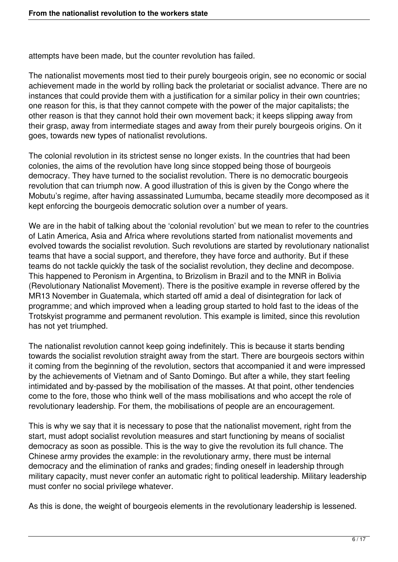attempts have been made, but the counter revolution has failed.

The nationalist movements most tied to their purely bourgeois origin, see no economic or social achievement made in the world by rolling back the proletariat or socialist advance. There are no instances that could provide them with a justification for a similar policy in their own countries; one reason for this, is that they cannot compete with the power of the major capitalists; the other reason is that they cannot hold their own movement back; it keeps slipping away from their grasp, away from intermediate stages and away from their purely bourgeois origins. On it goes, towards new types of nationalist revolutions.

The colonial revolution in its strictest sense no longer exists. In the countries that had been colonies, the aims of the revolution have long since stopped being those of bourgeois democracy. They have turned to the socialist revolution. There is no democratic bourgeois revolution that can triumph now. A good illustration of this is given by the Congo where the Mobutu's regime, after having assassinated Lumumba, became steadily more decomposed as it kept enforcing the bourgeois democratic solution over a number of years.

We are in the habit of talking about the 'colonial revolution' but we mean to refer to the countries of Latin America, Asia and Africa where revolutions started from nationalist movements and evolved towards the socialist revolution. Such revolutions are started by revolutionary nationalist teams that have a social support, and therefore, they have force and authority. But if these teams do not tackle quickly the task of the socialist revolution, they decline and decompose. This happened to Peronism in Argentina, to Brizolism in Brazil and to the MNR in Bolivia (Revolutionary Nationalist Movement). There is the positive example in reverse offered by the MR13 November in Guatemala, which started off amid a deal of disintegration for lack of programme; and which improved when a leading group started to hold fast to the ideas of the Trotskyist programme and permanent revolution. This example is limited, since this revolution has not yet triumphed.

The nationalist revolution cannot keep going indefinitely. This is because it starts bending towards the socialist revolution straight away from the start. There are bourgeois sectors within it coming from the beginning of the revolution, sectors that accompanied it and were impressed by the achievements of Vietnam and of Santo Domingo. But after a while, they start feeling intimidated and by-passed by the mobilisation of the masses. At that point, other tendencies come to the fore, those who think well of the mass mobilisations and who accept the role of revolutionary leadership. For them, the mobilisations of people are an encouragement.

This is why we say that it is necessary to pose that the nationalist movement, right from the start, must adopt socialist revolution measures and start functioning by means of socialist democracy as soon as possible. This is the way to give the revolution its full chance. The Chinese army provides the example: in the revolutionary army, there must be internal democracy and the elimination of ranks and grades; finding oneself in leadership through military capacity, must never confer an automatic right to political leadership. Military leadership must confer no social privilege whatever.

As this is done, the weight of bourgeois elements in the revolutionary leadership is lessened.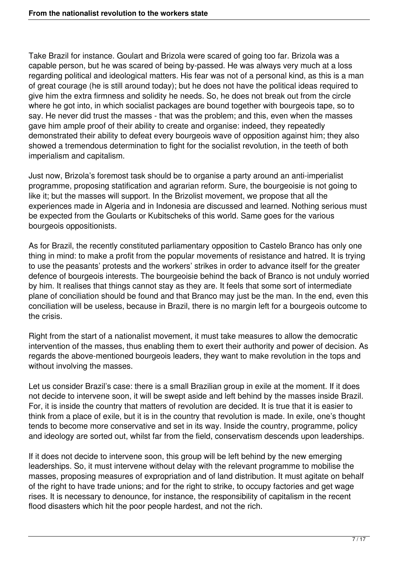Take Brazil for instance. Goulart and Brizola were scared of going too far. Brizola was a capable person, but he was scared of being by-passed. He was always very much at a loss regarding political and ideological matters. His fear was not of a personal kind, as this is a man of great courage (he is still around today); but he does not have the political ideas required to give him the extra firmness and solidity he needs. So, he does not break out from the circle where he got into, in which socialist packages are bound together with bourgeois tape, so to say. He never did trust the masses - that was the problem; and this, even when the masses gave him ample proof of their ability to create and organise: indeed, they repeatedly demonstrated their ability to defeat every bourgeois wave of opposition against him; they also showed a tremendous determination to fight for the socialist revolution, in the teeth of both imperialism and capitalism.

Just now, Brizola's foremost task should be to organise a party around an anti-imperialist programme, proposing statification and agrarian reform. Sure, the bourgeoisie is not going to like it; but the masses will support. In the Brizolist movement, we propose that all the experiences made in Algeria and in Indonesia are discussed and learned. Nothing serious must be expected from the Goularts or Kubitscheks of this world. Same goes for the various bourgeois oppositionists.

As for Brazil, the recently constituted parliamentary opposition to Castelo Branco has only one thing in mind: to make a profit from the popular movements of resistance and hatred. It is trying to use the peasants' protests and the workers' strikes in order to advance itself for the greater defence of bourgeois interests. The bourgeoisie behind the back of Branco is not unduly worried by him. It realises that things cannot stay as they are. It feels that some sort of intermediate plane of conciliation should be found and that Branco may just be the man. In the end, even this conciliation will be useless, because in Brazil, there is no margin left for a bourgeois outcome to the crisis.

Right from the start of a nationalist movement, it must take measures to allow the democratic intervention of the masses, thus enabling them to exert their authority and power of decision. As regards the above-mentioned bourgeois leaders, they want to make revolution in the tops and without involving the masses.

Let us consider Brazil's case: there is a small Brazilian group in exile at the moment. If it does not decide to intervene soon, it will be swept aside and left behind by the masses inside Brazil. For, it is inside the country that matters of revolution are decided. It is true that it is easier to think from a place of exile, but it is in the country that revolution is made. In exile, one's thought tends to become more conservative and set in its way. Inside the country, programme, policy and ideology are sorted out, whilst far from the field, conservatism descends upon leaderships.

If it does not decide to intervene soon, this group will be left behind by the new emerging leaderships. So, it must intervene without delay with the relevant programme to mobilise the masses, proposing measures of expropriation and of land distribution. It must agitate on behalf of the right to have trade unions; and for the right to strike, to occupy factories and get wage rises. It is necessary to denounce, for instance, the responsibility of capitalism in the recent flood disasters which hit the poor people hardest, and not the rich.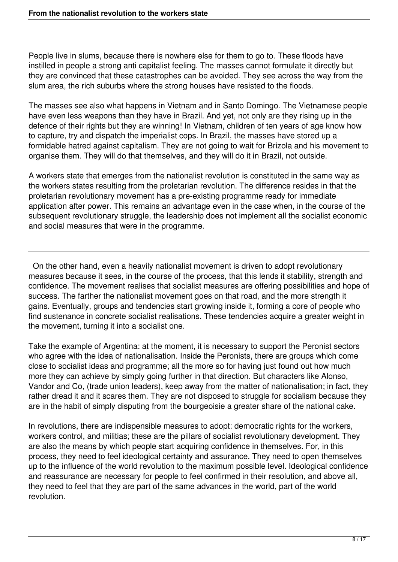People live in slums, because there is nowhere else for them to go to. These floods have instilled in people a strong anti capitalist feeling. The masses cannot formulate it directly but they are convinced that these catastrophes can be avoided. They see across the way from the slum area, the rich suburbs where the strong houses have resisted to the floods.

The masses see also what happens in Vietnam and in Santo Domingo. The Vietnamese people have even less weapons than they have in Brazil. And yet, not only are they rising up in the defence of their rights but they are winning! In Vietnam, children of ten years of age know how to capture, try and dispatch the imperialist cops. In Brazil, the masses have stored up a formidable hatred against capitalism. They are not going to wait for Brizola and his movement to organise them. They will do that themselves, and they will do it in Brazil, not outside.

A workers state that emerges from the nationalist revolution is constituted in the same way as the workers states resulting from the proletarian revolution. The difference resides in that the proletarian revolutionary movement has a pre-existing programme ready for immediate application after power. This remains an advantage even in the case when, in the course of the subsequent revolutionary struggle, the leadership does not implement all the socialist economic and social measures that were in the programme.

 On the other hand, even a heavily nationalist movement is driven to adopt revolutionary measures because it sees, in the course of the process, that this lends it stability, strength and confidence. The movement realises that socialist measures are offering possibilities and hope of success. The farther the nationalist movement goes on that road, and the more strength it gains. Eventually, groups and tendencies start growing inside it, forming a core of people who find sustenance in concrete socialist realisations. These tendencies acquire a greater weight in the movement, turning it into a socialist one.

Take the example of Argentina: at the moment, it is necessary to support the Peronist sectors who agree with the idea of nationalisation. Inside the Peronists, there are groups which come close to socialist ideas and programme; all the more so for having just found out how much more they can achieve by simply going further in that direction. But characters like Alonso, Vandor and Co, (trade union leaders), keep away from the matter of nationalisation; in fact, they rather dread it and it scares them. They are not disposed to struggle for socialism because they are in the habit of simply disputing from the bourgeoisie a greater share of the national cake.

In revolutions, there are indispensible measures to adopt: democratic rights for the workers, workers control, and militias; these are the pillars of socialist revolutionary development. They are also the means by which people start acquiring confidence in themselves. For, in this process, they need to feel ideological certainty and assurance. They need to open themselves up to the influence of the world revolution to the maximum possible level. Ideological confidence and reassurance are necessary for people to feel confirmed in their resolution, and above all, they need to feel that they are part of the same advances in the world, part of the world revolution.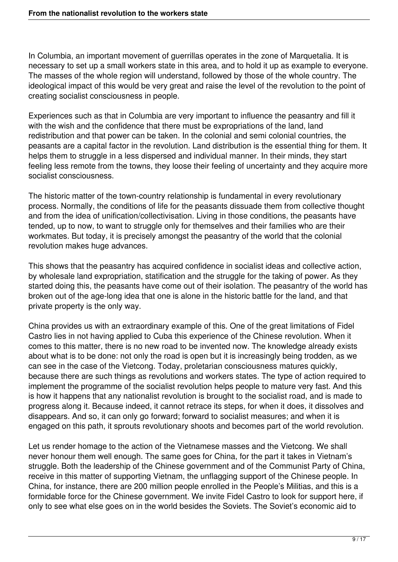In Columbia, an important movement of guerrillas operates in the zone of Marquetalia. It is necessary to set up a small workers state in this area, and to hold it up as example to everyone. The masses of the whole region will understand, followed by those of the whole country. The ideological impact of this would be very great and raise the level of the revolution to the point of creating socialist consciousness in people.

Experiences such as that in Columbia are very important to influence the peasantry and fill it with the wish and the confidence that there must be expropriations of the land, land redistribution and that power can be taken. In the colonial and semi colonial countries, the peasants are a capital factor in the revolution. Land distribution is the essential thing for them. It helps them to struggle in a less dispersed and individual manner. In their minds, they start feeling less remote from the towns, they loose their feeling of uncertainty and they acquire more socialist consciousness.

The historic matter of the town-country relationship is fundamental in every revolutionary process. Normally, the conditions of life for the peasants dissuade them from collective thought and from the idea of unification/collectivisation. Living in those conditions, the peasants have tended, up to now, to want to struggle only for themselves and their families who are their workmates. But today, it is precisely amongst the peasantry of the world that the colonial revolution makes huge advances.

This shows that the peasantry has acquired confidence in socialist ideas and collective action, by wholesale land expropriation, statification and the struggle for the taking of power. As they started doing this, the peasants have come out of their isolation. The peasantry of the world has broken out of the age-long idea that one is alone in the historic battle for the land, and that private property is the only way.

China provides us with an extraordinary example of this. One of the great limitations of Fidel Castro lies in not having applied to Cuba this experience of the Chinese revolution. When it comes to this matter, there is no new road to be invented now. The knowledge already exists about what is to be done: not only the road is open but it is increasingly being trodden, as we can see in the case of the Vietcong. Today, proletarian consciousness matures quickly, because there are such things as revolutions and workers states. The type of action required to implement the programme of the socialist revolution helps people to mature very fast. And this is how it happens that any nationalist revolution is brought to the socialist road, and is made to progress along it. Because indeed, it cannot retrace its steps, for when it does, it dissolves and disappears. And so, it can only go forward; forward to socialist measures; and when it is engaged on this path, it sprouts revolutionary shoots and becomes part of the world revolution.

Let us render homage to the action of the Vietnamese masses and the Vietcong. We shall never honour them well enough. The same goes for China, for the part it takes in Vietnam's struggle. Both the leadership of the Chinese government and of the Communist Party of China, receive in this matter of supporting Vietnam, the unflagging support of the Chinese people. In China, for instance, there are 200 million people enrolled in the People's Militias, and this is a formidable force for the Chinese government. We invite Fidel Castro to look for support here, if only to see what else goes on in the world besides the Soviets. The Soviet's economic aid to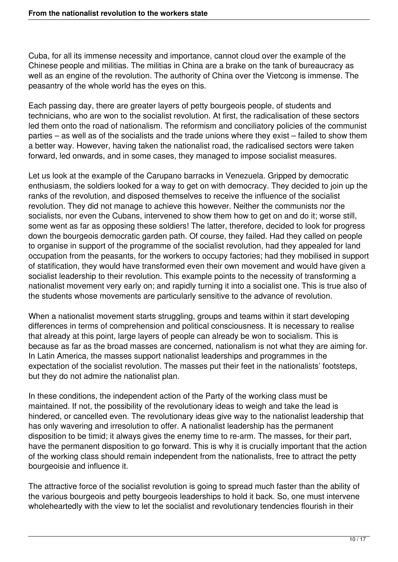Cuba, for all its immense necessity and importance, cannot cloud over the example of the Chinese people and militias. The militias in China are a brake on the tank of bureaucracy as well as an engine of the revolution. The authority of China over the Vietcong is immense. The peasantry of the whole world has the eyes on this.

Each passing day, there are greater layers of petty bourgeois people, of students and technicians, who are won to the socialist revolution. At first, the radicalisation of these sectors led them onto the road of nationalism. The reformism and conciliatory policies of the communist parties – as well as of the socialists and the trade unions where they exist – failed to show them a better way. However, having taken the nationalist road, the radicalised sectors were taken forward, led onwards, and in some cases, they managed to impose socialist measures.

Let us look at the example of the Carupano barracks in Venezuela. Gripped by democratic enthusiasm, the soldiers looked for a way to get on with democracy. They decided to join up the ranks of the revolution, and disposed themselves to receive the influence of the socialist revolution. They did not manage to achieve this however. Neither the communists nor the socialists, nor even the Cubans, intervened to show them how to get on and do it; worse still, some went as far as opposing these soldiers! The latter, therefore, decided to look for progress down the bourgeois democratic garden path. Of course, they failed. Had they called on people to organise in support of the programme of the socialist revolution, had they appealed for land occupation from the peasants, for the workers to occupy factories; had they mobilised in support of statification, they would have transformed even their own movement and would have given a socialist leadership to their revolution. This example points to the necessity of transforming a nationalist movement very early on; and rapidly turning it into a socialist one. This is true also of the students whose movements are particularly sensitive to the advance of revolution.

When a nationalist movement starts struggling, groups and teams within it start developing differences in terms of comprehension and political consciousness. It is necessary to realise that already at this point, large layers of people can already be won to socialism. This is because as far as the broad masses are concerned, nationalism is not what they are aiming for. In Latin America, the masses support nationalist leaderships and programmes in the expectation of the socialist revolution. The masses put their feet in the nationalists' footsteps, but they do not admire the nationalist plan.

In these conditions, the independent action of the Party of the working class must be maintained. If not, the possibility of the revolutionary ideas to weigh and take the lead is hindered, or cancelled even. The revolutionary ideas give way to the nationalist leadership that has only wavering and irresolution to offer. A nationalist leadership has the permanent disposition to be timid; it always gives the enemy time to re-arm. The masses, for their part, have the permanent disposition to go forward. This is why it is crucially important that the action of the working class should remain independent from the nationalists, free to attract the petty bourgeoisie and influence it.

The attractive force of the socialist revolution is going to spread much faster than the ability of the various bourgeois and petty bourgeois leaderships to hold it back. So, one must intervene wholeheartedly with the view to let the socialist and revolutionary tendencies flourish in their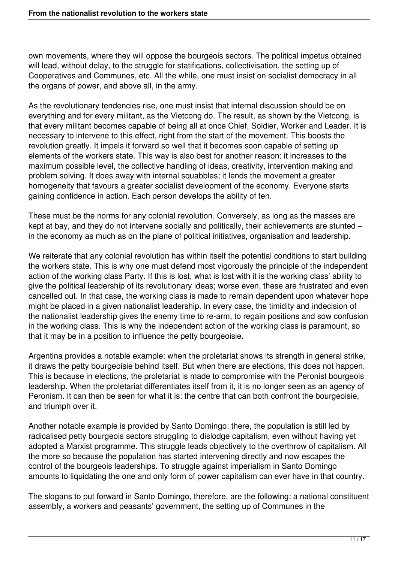own movements, where they will oppose the bourgeois sectors. The political impetus obtained will lead, without delay, to the struggle for statifications, collectivisation, the setting up of Cooperatives and Communes, etc. All the while, one must insist on socialist democracy in all the organs of power, and above all, in the army.

As the revolutionary tendencies rise, one must insist that internal discussion should be on everything and for every militant, as the Vietcong do. The result, as shown by the Vietcong, is that every militant becomes capable of being all at once Chief, Soldier, Worker and Leader. It is necessary to intervene to this effect, right from the start of the movement. This boosts the revolution greatly. It impels it forward so well that it becomes soon capable of setting up elements of the workers state. This way is also best for another reason: it increases to the maximum possible level, the collective handling of ideas, creativity, intervention making and problem solving. It does away with internal squabbles; it lends the movement a greater homogeneity that favours a greater socialist development of the economy. Everyone starts gaining confidence in action. Each person develops the ability of ten.

These must be the norms for any colonial revolution. Conversely, as long as the masses are kept at bay, and they do not intervene socially and politically, their achievements are stunted – in the economy as much as on the plane of political initiatives, organisation and leadership.

We reiterate that any colonial revolution has within itself the potential conditions to start building the workers state. This is why one must defend most vigorously the principle of the independent action of the working class Party. If this is lost, what is lost with it is the working class' ability to give the political leadership of its revolutionary ideas; worse even, these are frustrated and even cancelled out. In that case, the working class is made to remain dependent upon whatever hope might be placed in a given nationalist leadership. In every case, the timidity and indecision of the nationalist leadership gives the enemy time to re-arm, to regain positions and sow confusion in the working class. This is why the independent action of the working class is paramount, so that it may be in a position to influence the petty bourgeoisie.

Argentina provides a notable example: when the proletariat shows its strength in general strike, it draws the petty bourgeoisie behind itself. But when there are elections, this does not happen. This is because in elections, the proletariat is made to compromise with the Peronist bourgeois leadership. When the proletariat differentiates itself from it, it is no longer seen as an agency of Peronism. It can then be seen for what it is: the centre that can both confront the bourgeoisie, and triumph over it.

Another notable example is provided by Santo Domingo: there, the population is still led by radicalised petty bourgeois sectors struggling to dislodge capitalism, even without having yet adopted a Marxist programme. This struggle leads objectively to the overthrow of capitalism. All the more so because the population has started intervening directly and now escapes the control of the bourgeois leaderships. To struggle against imperialism in Santo Domingo amounts to liquidating the one and only form of power capitalism can ever have in that country.

The slogans to put forward in Santo Domingo, therefore, are the following: a national constituent assembly, a workers and peasants' government, the setting up of Communes in the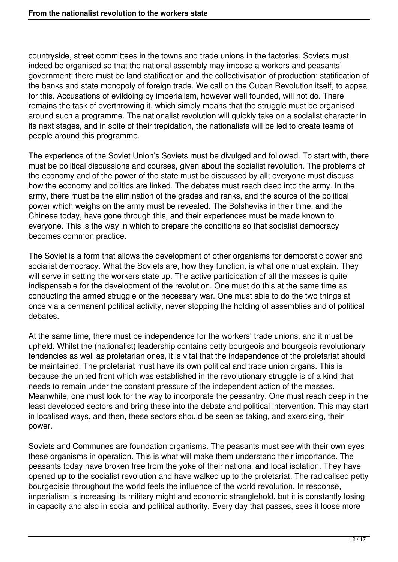countryside, street committees in the towns and trade unions in the factories. Soviets must indeed be organised so that the national assembly may impose a workers and peasants' government; there must be land statification and the collectivisation of production; statification of the banks and state monopoly of foreign trade. We call on the Cuban Revolution itself, to appeal for this. Accusations of evildoing by imperialism, however well founded, will not do. There remains the task of overthrowing it, which simply means that the struggle must be organised around such a programme. The nationalist revolution will quickly take on a socialist character in its next stages, and in spite of their trepidation, the nationalists will be led to create teams of people around this programme.

The experience of the Soviet Union's Soviets must be divulged and followed. To start with, there must be political discussions and courses, given about the socialist revolution. The problems of the economy and of the power of the state must be discussed by all; everyone must discuss how the economy and politics are linked. The debates must reach deep into the army. In the army, there must be the elimination of the grades and ranks, and the source of the political power which weighs on the army must be revealed. The Bolsheviks in their time, and the Chinese today, have gone through this, and their experiences must be made known to everyone. This is the way in which to prepare the conditions so that socialist democracy becomes common practice.

The Soviet is a form that allows the development of other organisms for democratic power and socialist democracy. What the Soviets are, how they function, is what one must explain. They will serve in setting the workers state up. The active participation of all the masses is quite indispensable for the development of the revolution. One must do this at the same time as conducting the armed struggle or the necessary war. One must able to do the two things at once via a permanent political activity, never stopping the holding of assemblies and of political debates.

At the same time, there must be independence for the workers' trade unions, and it must be upheld. Whilst the (nationalist) leadership contains petty bourgeois and bourgeois revolutionary tendencies as well as proletarian ones, it is vital that the independence of the proletariat should be maintained. The proletariat must have its own political and trade union organs. This is because the united front which was established in the revolutionary struggle is of a kind that needs to remain under the constant pressure of the independent action of the masses. Meanwhile, one must look for the way to incorporate the peasantry. One must reach deep in the least developed sectors and bring these into the debate and political intervention. This may start in localised ways, and then, these sectors should be seen as taking, and exercising, their power.

Soviets and Communes are foundation organisms. The peasants must see with their own eyes these organisms in operation. This is what will make them understand their importance. The peasants today have broken free from the yoke of their national and local isolation. They have opened up to the socialist revolution and have walked up to the proletariat. The radicalised petty bourgeoisie throughout the world feels the influence of the world revolution. In response, imperialism is increasing its military might and economic stranglehold, but it is constantly losing in capacity and also in social and political authority. Every day that passes, sees it loose more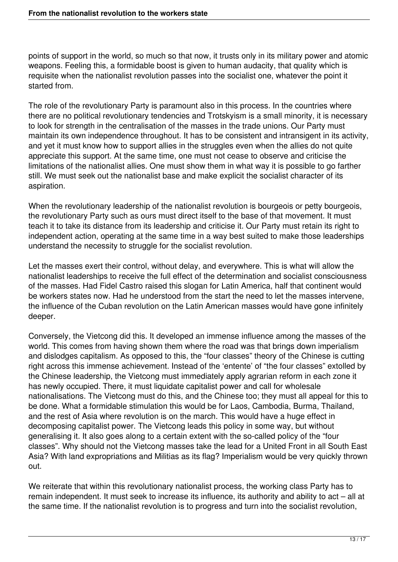points of support in the world, so much so that now, it trusts only in its military power and atomic weapons. Feeling this, a formidable boost is given to human audacity, that quality which is requisite when the nationalist revolution passes into the socialist one, whatever the point it started from.

The role of the revolutionary Party is paramount also in this process. In the countries where there are no political revolutionary tendencies and Trotskyism is a small minority, it is necessary to look for strength in the centralisation of the masses in the trade unions. Our Party must maintain its own independence throughout. It has to be consistent and intransigent in its activity, and yet it must know how to support allies in the struggles even when the allies do not quite appreciate this support. At the same time, one must not cease to observe and criticise the limitations of the nationalist allies. One must show them in what way it is possible to go farther still. We must seek out the nationalist base and make explicit the socialist character of its aspiration.

When the revolutionary leadership of the nationalist revolution is bourgeois or petty bourgeois, the revolutionary Party such as ours must direct itself to the base of that movement. It must teach it to take its distance from its leadership and criticise it. Our Party must retain its right to independent action, operating at the same time in a way best suited to make those leaderships understand the necessity to struggle for the socialist revolution.

Let the masses exert their control, without delay, and everywhere. This is what will allow the nationalist leaderships to receive the full effect of the determination and socialist consciousness of the masses. Had Fidel Castro raised this slogan for Latin America, half that continent would be workers states now. Had he understood from the start the need to let the masses intervene, the influence of the Cuban revolution on the Latin American masses would have gone infinitely deeper.

Conversely, the Vietcong did this. It developed an immense influence among the masses of the world. This comes from having shown them where the road was that brings down imperialism and dislodges capitalism. As opposed to this, the "four classes" theory of the Chinese is cutting right across this immense achievement. Instead of the 'entente' of "the four classes" extolled by the Chinese leadership, the Vietcong must immediately apply agrarian reform in each zone it has newly occupied. There, it must liquidate capitalist power and call for wholesale nationalisations. The Vietcong must do this, and the Chinese too; they must all appeal for this to be done. What a formidable stimulation this would be for Laos, Cambodia, Burma, Thailand, and the rest of Asia where revolution is on the march. This would have a huge effect in decomposing capitalist power. The Vietcong leads this policy in some way, but without generalising it. It also goes along to a certain extent with the so-called policy of the "four classes". Why should not the Vietcong masses take the lead for a United Front in all South East Asia? With land expropriations and Militias as its flag? Imperialism would be very quickly thrown out.

We reiterate that within this revolutionary nationalist process, the working class Party has to remain independent. It must seek to increase its influence, its authority and ability to act – all at the same time. If the nationalist revolution is to progress and turn into the socialist revolution,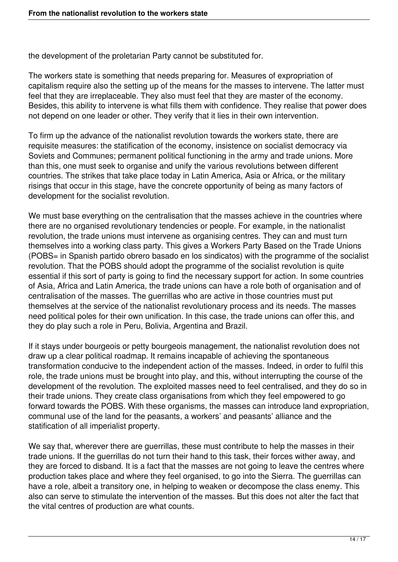the development of the proletarian Party cannot be substituted for.

The workers state is something that needs preparing for. Measures of expropriation of capitalism require also the setting up of the means for the masses to intervene. The latter must feel that they are irreplaceable. They also must feel that they are master of the economy. Besides, this ability to intervene is what fills them with confidence. They realise that power does not depend on one leader or other. They verify that it lies in their own intervention.

To firm up the advance of the nationalist revolution towards the workers state, there are requisite measures: the statification of the economy, insistence on socialist democracy via Soviets and Communes; permanent political functioning in the army and trade unions. More than this, one must seek to organise and unify the various revolutions between different countries. The strikes that take place today in Latin America, Asia or Africa, or the military risings that occur in this stage, have the concrete opportunity of being as many factors of development for the socialist revolution.

We must base everything on the centralisation that the masses achieve in the countries where there are no organised revolutionary tendencies or people. For example, in the nationalist revolution, the trade unions must intervene as organising centres. They can and must turn themselves into a working class party. This gives a Workers Party Based on the Trade Unions (POBS= in Spanish partido obrero basado en los sindicatos) with the programme of the socialist revolution. That the POBS should adopt the programme of the socialist revolution is quite essential if this sort of party is going to find the necessary support for action. In some countries of Asia, Africa and Latin America, the trade unions can have a role both of organisation and of centralisation of the masses. The guerrillas who are active in those countries must put themselves at the service of the nationalist revolutionary process and its needs. The masses need political poles for their own unification. In this case, the trade unions can offer this, and they do play such a role in Peru, Bolivia, Argentina and Brazil.

If it stays under bourgeois or petty bourgeois management, the nationalist revolution does not draw up a clear political roadmap. It remains incapable of achieving the spontaneous transformation conducive to the independent action of the masses. Indeed, in order to fulfil this role, the trade unions must be brought into play, and this, without interrupting the course of the development of the revolution. The exploited masses need to feel centralised, and they do so in their trade unions. They create class organisations from which they feel empowered to go forward towards the POBS. With these organisms, the masses can introduce land expropriation, communal use of the land for the peasants, a workers' and peasants' alliance and the statification of all imperialist property.

We say that, wherever there are guerrillas, these must contribute to help the masses in their trade unions. If the guerrillas do not turn their hand to this task, their forces wither away, and they are forced to disband. It is a fact that the masses are not going to leave the centres where production takes place and where they feel organised, to go into the Sierra. The guerrillas can have a role, albeit a transitory one, in helping to weaken or decompose the class enemy. This also can serve to stimulate the intervention of the masses. But this does not alter the fact that the vital centres of production are what counts.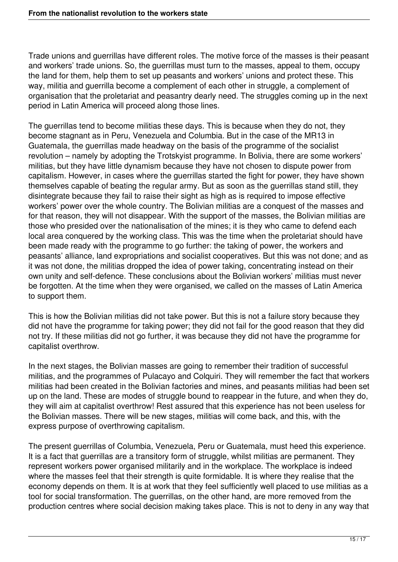Trade unions and guerrillas have different roles. The motive force of the masses is their peasant and workers' trade unions. So, the guerrillas must turn to the masses, appeal to them, occupy the land for them, help them to set up peasants and workers' unions and protect these. This way, militia and guerrilla become a complement of each other in struggle, a complement of organisation that the proletariat and peasantry dearly need. The struggles coming up in the next period in Latin America will proceed along those lines.

The guerrillas tend to become militias these days. This is because when they do not, they become stagnant as in Peru, Venezuela and Columbia. But in the case of the MR13 in Guatemala, the guerrillas made headway on the basis of the programme of the socialist revolution – namely by adopting the Trotskyist programme. In Bolivia, there are some workers' militias, but they have little dynamism because they have not chosen to dispute power from capitalism. However, in cases where the guerrillas started the fight for power, they have shown themselves capable of beating the regular army. But as soon as the guerrillas stand still, they disintegrate because they fail to raise their sight as high as is required to impose effective workers' power over the whole country. The Bolivian militias are a conquest of the masses and for that reason, they will not disappear. With the support of the masses, the Bolivian militias are those who presided over the nationalisation of the mines; it is they who came to defend each local area conquered by the working class. This was the time when the proletariat should have been made ready with the programme to go further: the taking of power, the workers and peasants' alliance, land expropriations and socialist cooperatives. But this was not done; and as it was not done, the militias dropped the idea of power taking, concentrating instead on their own unity and self-defence. These conclusions about the Bolivian workers' militias must never be forgotten. At the time when they were organised, we called on the masses of Latin America to support them.

This is how the Bolivian militias did not take power. But this is not a failure story because they did not have the programme for taking power; they did not fail for the good reason that they did not try. If these militias did not go further, it was because they did not have the programme for capitalist overthrow.

In the next stages, the Bolivian masses are going to remember their tradition of successful militias, and the programmes of Pulacayo and Colquiri. They will remember the fact that workers militias had been created in the Bolivian factories and mines, and peasants militias had been set up on the land. These are modes of struggle bound to reappear in the future, and when they do, they will aim at capitalist overthrow! Rest assured that this experience has not been useless for the Bolivian masses. There will be new stages, militias will come back, and this, with the express purpose of overthrowing capitalism.

The present guerrillas of Columbia, Venezuela, Peru or Guatemala, must heed this experience. It is a fact that guerrillas are a transitory form of struggle, whilst militias are permanent. They represent workers power organised militarily and in the workplace. The workplace is indeed where the masses feel that their strength is quite formidable. It is where they realise that the economy depends on them. It is at work that they feel sufficiently well placed to use militias as a tool for social transformation. The guerrillas, on the other hand, are more removed from the production centres where social decision making takes place. This is not to deny in any way that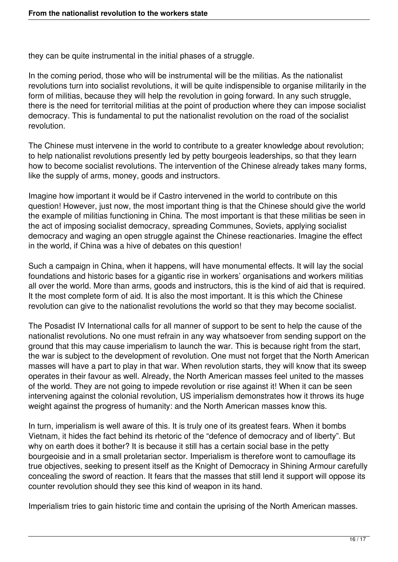they can be quite instrumental in the initial phases of a struggle.

In the coming period, those who will be instrumental will be the militias. As the nationalist revolutions turn into socialist revolutions, it will be quite indispensible to organise militarily in the form of militias, because they will help the revolution in going forward. In any such struggle, there is the need for territorial militias at the point of production where they can impose socialist democracy. This is fundamental to put the nationalist revolution on the road of the socialist revolution.

The Chinese must intervene in the world to contribute to a greater knowledge about revolution; to help nationalist revolutions presently led by petty bourgeois leaderships, so that they learn how to become socialist revolutions. The intervention of the Chinese already takes many forms, like the supply of arms, money, goods and instructors.

Imagine how important it would be if Castro intervened in the world to contribute on this question! However, just now, the most important thing is that the Chinese should give the world the example of militias functioning in China. The most important is that these militias be seen in the act of imposing socialist democracy, spreading Communes, Soviets, applying socialist democracy and waging an open struggle against the Chinese reactionaries. Imagine the effect in the world, if China was a hive of debates on this question!

Such a campaign in China, when it happens, will have monumental effects. It will lay the social foundations and historic bases for a gigantic rise in workers' organisations and workers militias all over the world. More than arms, goods and instructors, this is the kind of aid that is required. It the most complete form of aid. It is also the most important. It is this which the Chinese revolution can give to the nationalist revolutions the world so that they may become socialist.

The Posadist IV International calls for all manner of support to be sent to help the cause of the nationalist revolutions. No one must refrain in any way whatsoever from sending support on the ground that this may cause imperialism to launch the war. This is because right from the start, the war is subject to the development of revolution. One must not forget that the North American masses will have a part to play in that war. When revolution starts, they will know that its sweep operates in their favour as well. Already, the North American masses feel united to the masses of the world. They are not going to impede revolution or rise against it! When it can be seen intervening against the colonial revolution, US imperialism demonstrates how it throws its huge weight against the progress of humanity: and the North American masses know this.

In turn, imperialism is well aware of this. It is truly one of its greatest fears. When it bombs Vietnam, it hides the fact behind its rhetoric of the "defence of democracy and of liberty". But why on earth does it bother? It is because it still has a certain social base in the petty bourgeoisie and in a small proletarian sector. Imperialism is therefore wont to camouflage its true objectives, seeking to present itself as the Knight of Democracy in Shining Armour carefully concealing the sword of reaction. It fears that the masses that still lend it support will oppose its counter revolution should they see this kind of weapon in its hand.

Imperialism tries to gain historic time and contain the uprising of the North American masses.